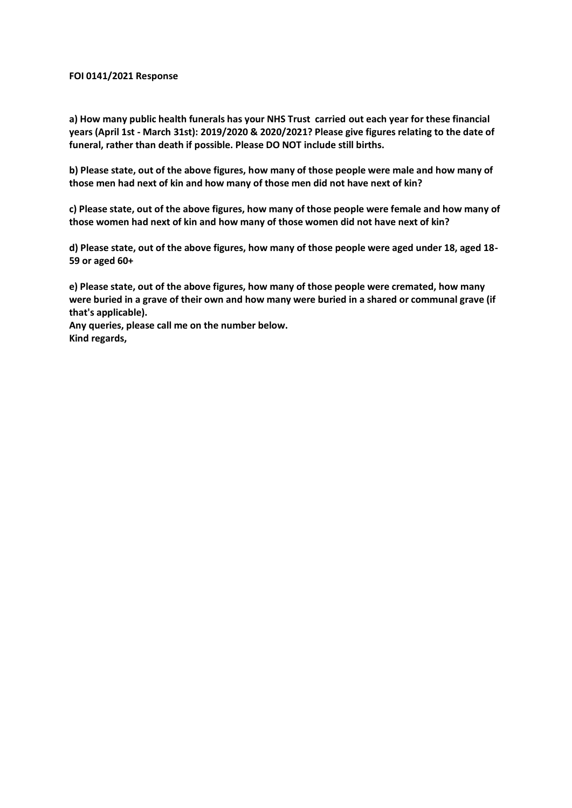## **FOI 0141/2021 Response**

**a) How many public health funerals has your NHS Trust carried out each year for these financial years (April 1st - March 31st): 2019/2020 & 2020/2021? Please give figures relating to the date of funeral, rather than death if possible. Please DO NOT include still births.** 

**b) Please state, out of the above figures, how many of those people were male and how many of those men had next of kin and how many of those men did not have next of kin?**

**c) Please state, out of the above figures, how many of those people were female and how many of those women had next of kin and how many of those women did not have next of kin?**

**d) Please state, out of the above figures, how many of those people were aged under 18, aged 18- 59 or aged 60+**

**e) Please state, out of the above figures, how many of those people were cremated, how many were buried in a grave of their own and how many were buried in a shared or communal grave (if that's applicable).**

**Any queries, please call me on the number below. Kind regards,**